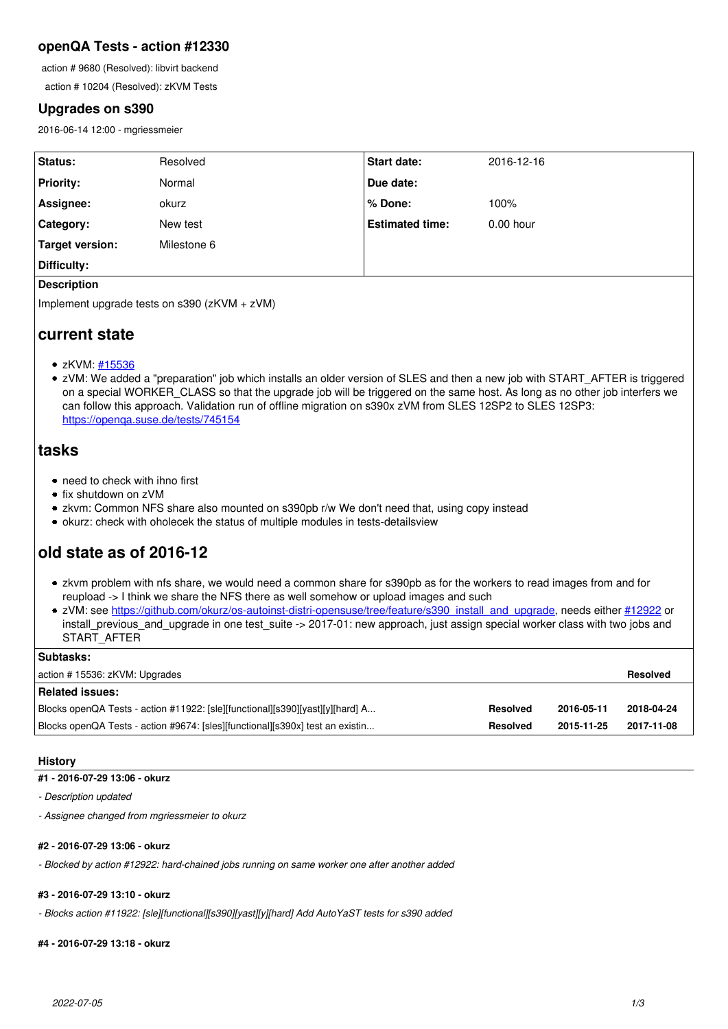# **openQA Tests - action #12330**

action # 9680 (Resolved): libvirt backend

action # 10204 (Resolved): zKVM Tests

# **Upgrades on s390**

2016-06-14 12:00 - mgriessmeier

| Status:          | Resolved    | Start date:            | 2016-12-16  |
|------------------|-------------|------------------------|-------------|
| <b>Priority:</b> | Normal      | Due date:              |             |
| Assignee:        | okurz       | % Done:                | 100%        |
| Category:        | New test    | <b>Estimated time:</b> | $0.00$ hour |
| Target version:  | Milestone 6 |                        |             |
| Difficulty:      |             |                        |             |

## **Description**

Implement upgrade tests on s390 (zKVM + zVM)

# **current state**

- zKVM: [#15536](https://progress.opensuse.org/issues/15536)
- zVM: We added a "preparation" job which installs an older version of SLES and then a new job with START\_AFTER is triggered on a special WORKER\_CLASS so that the upgrade job will be triggered on the same host. As long as no other job interfers we can follow this approach. Validation run of offline migration on s390x zVM from SLES 12SP2 to SLES 12SP3: <https://openqa.suse.de/tests/745154>

# **tasks**

- need to check with ihno first
- fix shutdown on zVM
- zkvm: Common NFS share also mounted on s390pb r/w We don't need that, using copy instead
- okurz: check with oholecek the status of multiple modules in tests-detailsview

# **old state as of 2016-12**

- zkvm problem with nfs share, we would need a common share for s390pb as for the workers to read images from and for reupload -> I think we share the NFS there as well somehow or upload images and such
- zVM: see [https://github.com/okurz/os-autoinst-distri-opensuse/tree/feature/s390\\_install\\_and\\_upgrade,](https://github.com/okurz/os-autoinst-distri-opensuse/tree/feature/s390_install_and_upgrade) needs either [#12922](https://progress.opensuse.org/issues/12922) or install previous and upgrade in one test suite -> 2017-01: new approach, just assign special worker class with two jobs and START\_AFTER

| <b>Subtasks:</b>                                                              |          |            |            |
|-------------------------------------------------------------------------------|----------|------------|------------|
| action #15536: zKVM: Upgrades                                                 |          |            |            |
| <b>Related issues:</b>                                                        |          |            |            |
| Blocks openQA Tests - action #11922: [sle][functional][s390][yast][y][hard] A | Resolved | 2016-05-11 | 2018-04-24 |
| Blocks openQA Tests - action #9674: [sles][functional][s390x] test an existin | Resolved | 2015-11-25 | 2017-11-08 |

# **History**

# **#1 - 2016-07-29 13:06 - okurz**

*- Description updated*

*- Assignee changed from mgriessmeier to okurz*

# **#2 - 2016-07-29 13:06 - okurz**

*- Blocked by action #12922: hard-chained jobs running on same worker one after another added*

# **#3 - 2016-07-29 13:10 - okurz**

*- Blocks action #11922: [sle][functional][s390][yast][y][hard] Add AutoYaST tests for s390 added*

# **#4 - 2016-07-29 13:18 - okurz**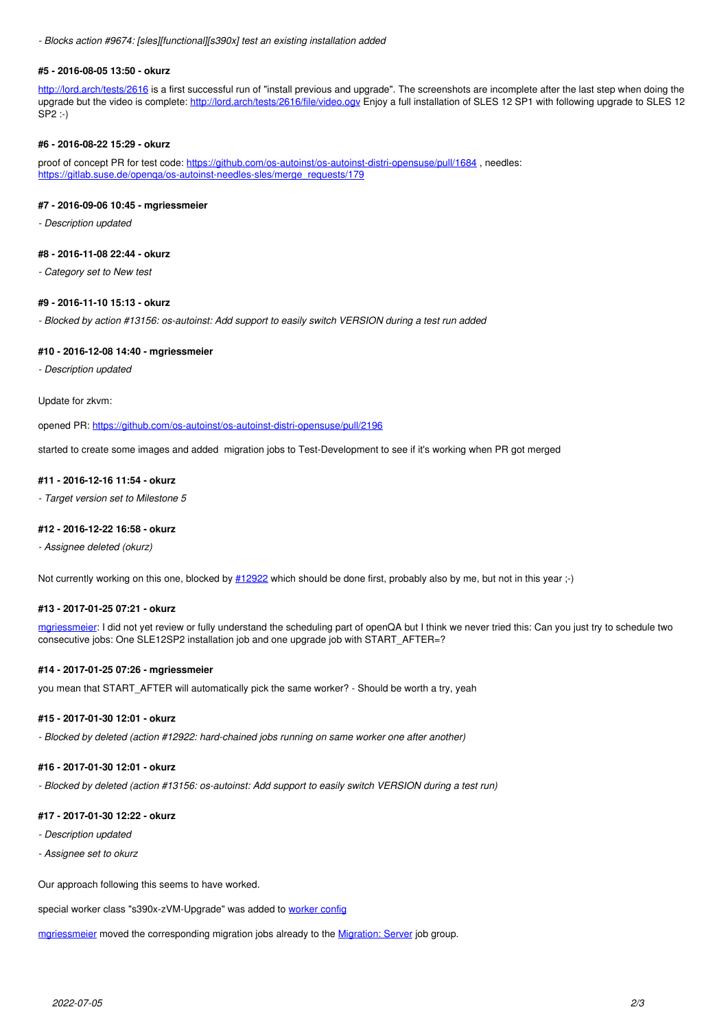*- Blocks action #9674: [sles][functional][s390x] test an existing installation added*

#### **#5 - 2016-08-05 13:50 - okurz**

<http://lord.arch/tests/2616> is a first successful run of "install previous and upgrade". The screenshots are incomplete after the last step when doing the upgrade but the video is complete: <http://lord.arch/tests/2616/file/video.ogv>Enjoy a full installation of SLES 12 SP1 with following upgrade to SLES 12 SP2 :-)

## **#6 - 2016-08-22 15:29 - okurz**

proof of concept PR for test code: <https://github.com/os-autoinst/os-autoinst-distri-opensuse/pull/1684> , needles: https://gitlab.suse.de/openga/os-autoinst-needles-sles/merge\_requests/179

## **#7 - 2016-09-06 10:45 - mgriessmeier**

*- Description updated*

#### **#8 - 2016-11-08 22:44 - okurz**

*- Category set to New test*

## **#9 - 2016-11-10 15:13 - okurz**

*- Blocked by action #13156: os-autoinst: Add support to easily switch VERSION during a test run added*

#### **#10 - 2016-12-08 14:40 - mgriessmeier**

*- Description updated*

#### Update for zkvm:

opened PR: <https://github.com/os-autoinst/os-autoinst-distri-opensuse/pull/2196>

started to create some images and added migration jobs to Test-Development to see if it's working when PR got merged

#### **#11 - 2016-12-16 11:54 - okurz**

*- Target version set to Milestone 5*

#### **#12 - 2016-12-22 16:58 - okurz**

*- Assignee deleted (okurz)*

Not currently working on this one, blocked by  $#12922$  which should be done first, probably also by me, but not in this year ;-)

# **#13 - 2017-01-25 07:21 - okurz**

mariessmeier: I did not yet review or fully understand the scheduling part of openQA but I think we never tried this: Can you just try to schedule two consecutive jobs: One SLE12SP2 installation job and one upgrade job with START\_AFTER=?

# **#14 - 2017-01-25 07:26 - mgriessmeier**

you mean that START\_AFTER will automatically pick the same worker? - Should be worth a try, yeah

# **#15 - 2017-01-30 12:01 - okurz**

*- Blocked by deleted (action #12922: hard-chained jobs running on same worker one after another)*

# **#16 - 2017-01-30 12:01 - okurz**

*- Blocked by deleted (action #13156: os-autoinst: Add support to easily switch VERSION during a test run)*

# **#17 - 2017-01-30 12:22 - okurz**

*- Description updated*

*- Assignee set to okurz*

Our approach following this seems to have worked.

special worker class "s390x-zVM-Upgrade" was added to [worker config](https://gitlab.suse.de/openqa/salt-pillars-openqa/commit/996e5aa8617f18d1f9784e993a042c281b0e5731)

[mgriessmeier](progress.opensuse.org/users/15418) moved the corresponding migration jobs already to the [Migration: Server](https://openqa.suse.de/group_overview/65) job group.